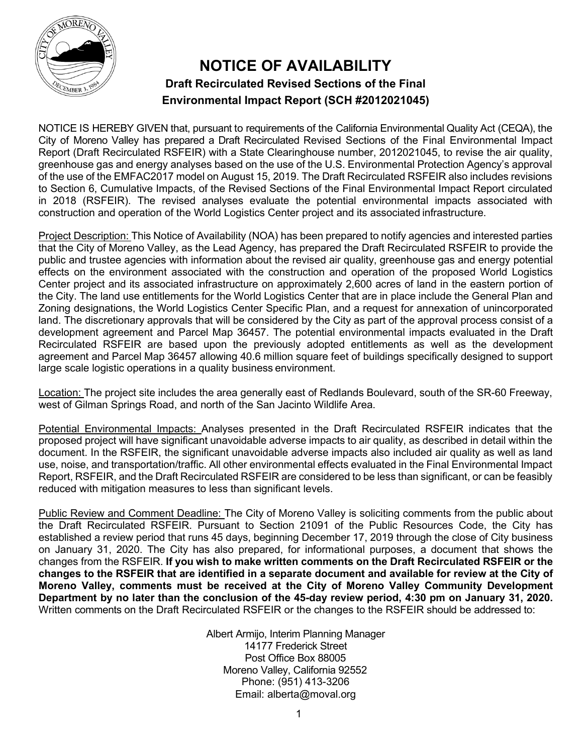

## **NOTICE OF AVAILABILITY Draft Recirculated Revised Sections of the Final Environmental Impact Report (SCH #2012021045)**

NOTICE IS HEREBY GIVEN that, pursuant to requirements of the California Environmental Quality Act (CEQA), the City of Moreno Valley has prepared a Draft Recirculated Revised Sections of the Final Environmental Impact Report (Draft Recirculated RSFEIR) with a State Clearinghouse number, 2012021045, to revise the air quality, greenhouse gas and energy analyses based on the use of the U.S. Environmental Protection Agency's approval of the use of the EMFAC2017 model on August 15, 2019. The Draft Recirculated RSFEIR also includes revisions to Section 6, Cumulative Impacts, of the Revised Sections of the Final Environmental Impact Report circulated in 2018 (RSFEIR). The revised analyses evaluate the potential environmental impacts associated with construction and operation of the World Logistics Center project and its associated infrastructure.

Project Description: This Notice of Availability (NOA) has been prepared to notify agencies and interested parties that the City of Moreno Valley, as the Lead Agency, has prepared the Draft Recirculated RSFEIR to provide the public and trustee agencies with information about the revised air quality, greenhouse gas and energy potential effects on the environment associated with the construction and operation of the proposed World Logistics Center project and its associated infrastructure on approximately 2,600 acres of land in the eastern portion of the City. The land use entitlements for the World Logistics Center that are in place include the General Plan and Zoning designations, the World Logistics Center Specific Plan, and a request for annexation of unincorporated land. The discretionary approvals that will be considered by the City as part of the approval process consist of a development agreement and Parcel Map 36457. The potential environmental impacts evaluated in the Draft Recirculated RSFEIR are based upon the previously adopted entitlements as well as the development agreement and Parcel Map 36457 allowing 40.6 million square feet of buildings specifically designed to support large scale logistic operations in a quality business environment.

Location: The project site includes the area generally east of Redlands Boulevard, south of the SR-60 Freeway, west of Gilman Springs Road, and north of the San Jacinto Wildlife Area.

Potential Environmental Impacts: Analyses presented in the Draft Recirculated RSFEIR indicates that the proposed project will have significant unavoidable adverse impacts to air quality, as described in detail within the document. In the RSFEIR, the significant unavoidable adverse impacts also included air quality as well as land use, noise, and transportation/traffic. All other environmental effects evaluated in the Final Environmental Impact Report, RSFEIR, and the Draft Recirculated RSFEIR are considered to be less than significant, or can be feasibly reduced with mitigation measures to less than significant levels.

Public Review and Comment Deadline: The City of Moreno Valley is soliciting comments from the public about the Draft Recirculated RSFEIR. Pursuant to Section 21091 of the Public Resources Code, the City has established a review period that runs 45 days, beginning December 17, 2019 through the close of City business on January 31, 2020. The City has also prepared, for informational purposes, a document that shows the changes from the RSFEIR. **If you wish to make written comments on the Draft Recirculated RSFEIR or the changes to the RSFEIR that are identified in a separate document and available for review at the City of Moreno Valley, comments must be received at the City of Moreno Valley Community Development Department by no later than the conclusion of the 45-day review period, 4:30 pm on January 31, 2020.**  Written comments on the Draft Recirculated RSFEIR or the changes to the RSFEIR should be addressed to:

> Albert Armijo, Interim Planning Manager 14177 Frederick Street Post Office Box 88005 Moreno Valley, California 92552 Phone: (951) 413-3206 Email: [alberta@moval.org](mailto:alberta@moval.org)